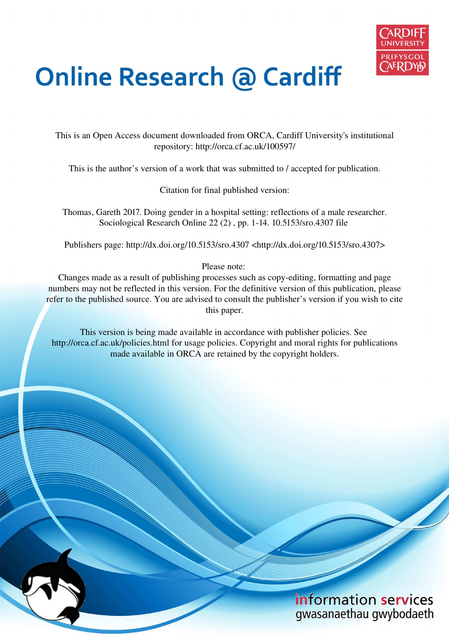

# **Online Research @ Cardiff**

This is an Open Access document downloaded from ORCA, Cardiff University's institutional repository: http://orca.cf.ac.uk/100597/

This is the author's version of a work that was submitted to / accepted for publication.

Citation for final published version:

Thomas, Gareth 2017. Doing gender in a hospital setting: reflections of a male researcher. Sociological Research Online 22 (2) , pp. 1-14. 10.5153/sro.4307 file

Publishers page: http://dx.doi.org/10.5153/sro.4307 <http://dx.doi.org/10.5153/sro.4307>

Please note:

Changes made as a result of publishing processes such as copy-editing, formatting and page numbers may not be reflected in this version. For the definitive version of this publication, please refer to the published source. You are advised to consult the publisher's version if you wish to cite this paper.

This version is being made available in accordance with publisher policies. See http://orca.cf.ac.uk/policies.html for usage policies. Copyright and moral rights for publications made available in ORCA are retained by the copyright holders.

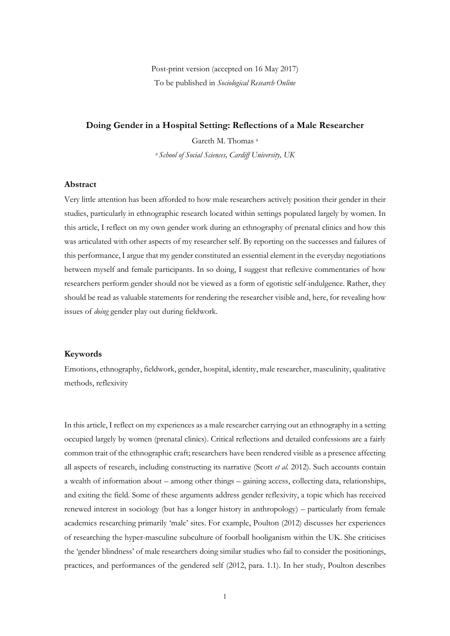Post-print version (accepted on 16 May 2017) To be published in *Sociological Research Online* 

## **Doing Gender in a Hospital Setting: Reflections of a Male Researcher**

Gareth M. Thomas <sup>a</sup>

<sup>a</sup>*School of Social Sciences, Cardiff University, UK*

# **Abstract**

Very little attention has been afforded to how male researchers actively position their gender in their studies, particularly in ethnographic research located within settings populated largely by women. In this article, I reflect on my own gender work during an ethnography of prenatal clinics and how this was articulated with other aspects of my researcher self. By reporting on the successes and failures of this performance, I argue that my gender constituted an essential element in the everyday negotiations between myself and female participants. In so doing, I suggest that reflexive commentaries of how researchers perform gender should not be viewed as a form of egotistic self-indulgence. Rather, they should be read as valuable statements for rendering the researcher visible and, here, for revealing how issues of *doing* gender play out during fieldwork.

#### **Keywords**

Emotions, ethnography, fieldwork, gender, hospital, identity, male researcher, masculinity, qualitative methods, reflexivity

In this article, I reflect on my experiences as a male researcher carrying out an ethnography in a setting occupied largely by women (prenatal clinics). Critical reflections and detailed confessions are a fairly common trait of the ethnographic craft; researchers have been rendered visible as a presence affecting all aspects of research, including constructing its narrative (Scott *et al.* 2012). Such accounts contain a wealth of information about – among other things – gaining access, collecting data, relationships, and exiting the field. Some of these arguments address gender reflexivity, a topic which has received renewed interest in sociology (but has a longer history in anthropology) – particularly from female academics researching primarily 'male' sites. For example, Poulton (2012) discusses her experiences of researching the hyper-masculine subculture of football hooliganism within the UK. She criticises the 'gender blindness' of male researchers doing similar studies who fail to consider the positionings, practices, and performances of the gendered self (2012, para. 1.1). In her study, Poulton describes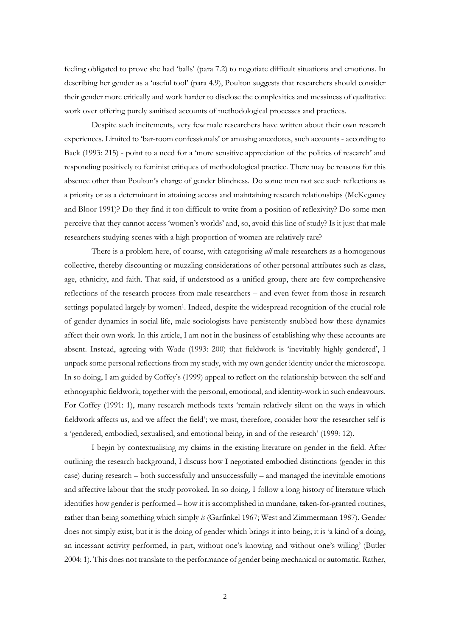feeling obligated to prove she had 'balls' (para 7.2) to negotiate difficult situations and emotions. In describing her gender as a 'useful tool' (para 4.9), Poulton suggests that researchers should consider their gender more critically and work harder to disclose the complexities and messiness of qualitative work over offering purely sanitised accounts of methodological processes and practices.

Despite such incitements, very few male researchers have written about their own research experiences. Limited to 'bar-room confessionals' or amusing anecdotes, such accounts - according to Back (1993: 215) - point to a need for a 'more sensitive appreciation of the politics of research' and responding positively to feminist critiques of methodological practice. There may be reasons for this absence other than Poulton's charge of gender blindness. Do some men not see such reflections as a priority or as a determinant in attaining access and maintaining research relationships (McKeganey and Bloor 1991)? Do they find it too difficult to write from a position of reflexivity? Do some men perceive that they cannot access 'women's worlds' and, so, avoid this line of study? Is it just that male researchers studying scenes with a high proportion of women are relatively rare?

There is a problem here, of course, with categorising *all* male researchers as a homogenous collective, thereby discounting or muzzling considerations of other personal attributes such as class, age, ethnicity, and faith. That said, if understood as a unified group, there are few comprehensive reflections of the research process from male researchers – and even fewer from those in research settings populated largely by women<sup>1</sup>. Indeed, despite the widespread recognition of the crucial role of gender dynamics in social life, male sociologists have persistently snubbed how these dynamics affect their own work. In this article, I am not in the business of establishing why these accounts are absent. Instead, agreeing with Wade (1993: 200) that fieldwork is 'inevitably highly gendered', I unpack some personal reflections from my study, with my own gender identity under the microscope. In so doing, I am guided by Coffey's (1999) appeal to reflect on the relationship between the self and ethnographic fieldwork, together with the personal, emotional, and identity-work in such endeavours. For Coffey (1991: 1), many research methods texts 'remain relatively silent on the ways in which fieldwork affects us, and we affect the field'; we must, therefore, consider how the researcher self is a 'gendered, embodied, sexualised, and emotional being, in and of the research' (1999: 12).

I begin by contextualising my claims in the existing literature on gender in the field. After outlining the research background, I discuss how I negotiated embodied distinctions (gender in this case) during research – both successfully and unsuccessfully – and managed the inevitable emotions and affective labour that the study provoked. In so doing, I follow a long history of literature which identifies how gender is performed – how it is accomplished in mundane, taken-for-granted routines, rather than being something which simply *is* (Garfinkel 1967; West and Zimmermann 1987). Gender does not simply exist, but it is the doing of gender which brings it into being; it is 'a kind of a doing, an incessant activity performed, in part, without one's knowing and without one's willing' (Butler 2004: 1). This does not translate to the performance of gender being mechanical or automatic. Rather,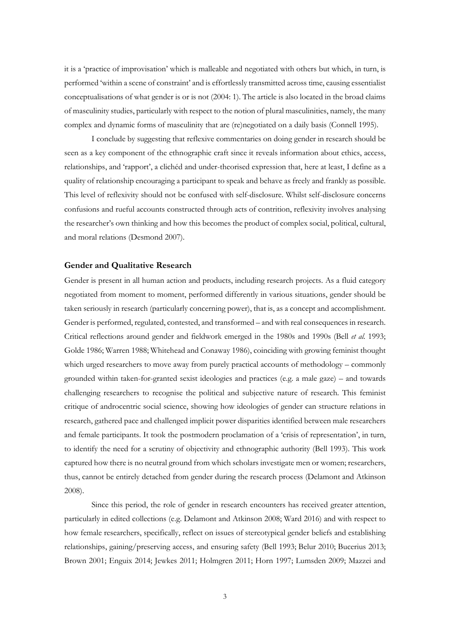it is a 'practice of improvisation' which is malleable and negotiated with others but which, in turn, is performed 'within a scene of constraint' and is effortlessly transmitted across time, causing essentialist conceptualisations of what gender is or is not (2004: 1). The article is also located in the broad claims of masculinity studies, particularly with respect to the notion of plural masculinities, namely, the many complex and dynamic forms of masculinity that are (re)negotiated on a daily basis (Connell 1995).

I conclude by suggesting that reflexive commentaries on doing gender in research should be seen as a key component of the ethnographic craft since it reveals information about ethics, access, relationships, and 'rapport', a clichéd and under-theorised expression that, here at least, I define as a quality of relationship encouraging a participant to speak and behave as freely and frankly as possible. This level of reflexivity should not be confused with self-disclosure. Whilst self-disclosure concerns confusions and rueful accounts constructed through acts of contrition, reflexivity involves analysing the researcher's own thinking and how this becomes the product of complex social, political, cultural, and moral relations (Desmond 2007).

#### **Gender and Qualitative Research**

Gender is present in all human action and products, including research projects. As a fluid category negotiated from moment to moment, performed differently in various situations, gender should be taken seriously in research (particularly concerning power), that is, as a concept and accomplishment. Gender is performed, regulated, contested, and transformed – and with real consequences in research. Critical reflections around gender and fieldwork emerged in the 1980s and 1990s (Bell *et al.* 1993; Golde 1986; Warren 1988; Whitehead and Conaway 1986), coinciding with growing feminist thought which urged researchers to move away from purely practical accounts of methodology – commonly grounded within taken-for-granted sexist ideologies and practices (e.g. a male gaze) – and towards challenging researchers to recognise the political and subjective nature of research. This feminist critique of androcentric social science, showing how ideologies of gender can structure relations in research, gathered pace and challenged implicit power disparities identified between male researchers and female participants. It took the postmodern proclamation of a 'crisis of representation', in turn, to identify the need for a scrutiny of objectivity and ethnographic authority (Bell 1993). This work captured how there is no neutral ground from which scholars investigate men or women; researchers, thus, cannot be entirely detached from gender during the research process (Delamont and Atkinson 2008).

Since this period, the role of gender in research encounters has received greater attention, particularly in edited collections (e.g. Delamont and Atkinson 2008; Ward 2016) and with respect to how female researchers, specifically, reflect on issues of stereotypical gender beliefs and establishing relationships, gaining/preserving access, and ensuring safety (Bell 1993; Belur 2010; Bucerius 2013; Brown 2001; Enguix 2014; Jewkes 2011; Holmgren 2011; Horn 1997; Lumsden 2009; Mazzei and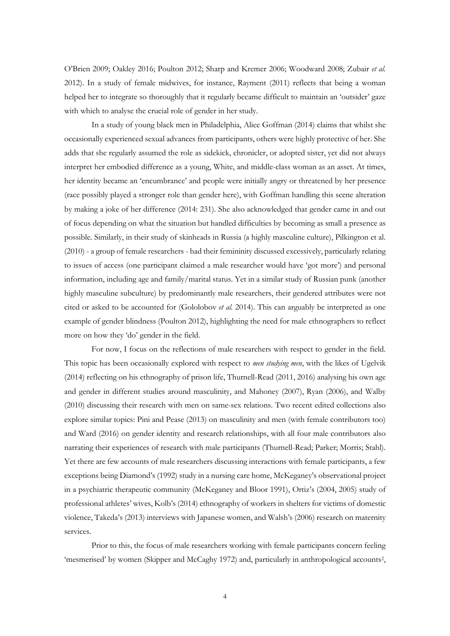O'Brien 2009; Oakley 2016; Poulton 2012; Sharp and Kremer 2006; Woodward 2008; Zubair *et al.* 2012). In a study of female midwives, for instance, Rayment (2011) reflects that being a woman helped her to integrate so thoroughly that it regularly became difficult to maintain an 'outsider' gaze with which to analyse the crucial role of gender in her study.

In a study of young black men in Philadelphia, Alice Goffman (2014) claims that whilst she occasionally experienced sexual advances from participants, others were highly protective of her. She adds that she regularly assumed the role as sidekick, chronicler, or adopted sister, yet did not always interpret her embodied difference as a young, White, and middle-class woman as an asset. At times, her identity became an 'encumbrance' and people were initially angry or threatened by her presence (race possibly played a stronger role than gender here), with Goffman handling this scene alteration by making a joke of her difference (2014: 231). She also acknowledged that gender came in and out of focus depending on what the situation but handled difficulties by becoming as small a presence as possible. Similarly, in their study of skinheads in Russia (a highly masculine culture), Pilkington et al. (2010) - a group of female researchers - had their femininity discussed excessively, particularly relating to issues of access (one participant claimed a male researcher would have 'got more') and personal information, including age and family/marital status. Yet in a similar study of Russian punk (another highly masculine subculture) by predominantly male researchers, their gendered attributes were not cited or asked to be accounted for (Gololobov *et al.* 2014). This can arguably be interpreted as one example of gender blindness (Poulton 2012), highlighting the need for male ethnographers to reflect more on how they 'do' gender in the field.

For now, I focus on the reflections of male researchers with respect to gender in the field. This topic has been occasionally explored with respect to *men studying men*, with the likes of Ugelvik (2014) reflecting on his ethnography of prison life, Thurnell-Read (2011, 2016) analysing his own age and gender in different studies around masculinity, and Mahoney (2007), Ryan (2006), and Walby (2010) discussing their research with men on same-sex relations. Two recent edited collections also explore similar topics: Pini and Pease (2013) on masculinity and men (with female contributors too) and Ward (2016) on gender identity and research relationships, with all four male contributors also narrating their experiences of research with male participants (Thurnell-Read; Parker; Morris; Stahl). Yet there are few accounts of male researchers discussing interactions with female participants, a few exceptions being Diamond's (1992) study in a nursing care home, McKeganey's observational project in a psychiatric therapeutic community (McKeganey and Bloor 1991), Ortiz's (2004, 2005) study of professional athletes' wives, Kolb's (2014) ethnography of workers in shelters for victims of domestic violence, Takeda's (2013) interviews with Japanese women, and Walsh's (2006) research on maternity services.

Prior to this, the focus of male researchers working with female participants concern feeling 'mesmerised' by women (Skipper and McCaghy 1972) and, particularly in anthropological accounts<sup>2</sup>,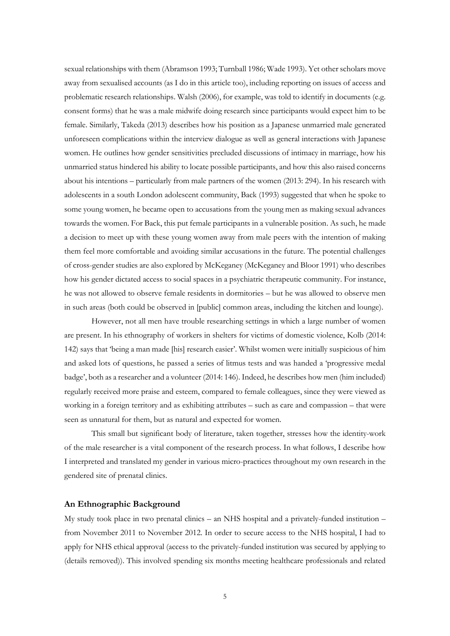sexual relationships with them (Abramson 1993; Turnball 1986; Wade 1993). Yet other scholars move away from sexualised accounts (as I do in this article too), including reporting on issues of access and problematic research relationships. Walsh (2006), for example, was told to identify in documents (e.g. consent forms) that he was a male midwife doing research since participants would expect him to be female. Similarly, Takeda (2013) describes how his position as a Japanese unmarried male generated unforeseen complications within the interview dialogue as well as general interactions with Japanese women. He outlines how gender sensitivities precluded discussions of intimacy in marriage, how his unmarried status hindered his ability to locate possible participants, and how this also raised concerns about his intentions – particularly from male partners of the women (2013: 294). In his research with adolescents in a south London adolescent community, Back (1993) suggested that when he spoke to some young women, he became open to accusations from the young men as making sexual advances towards the women. For Back, this put female participants in a vulnerable position. As such, he made a decision to meet up with these young women away from male peers with the intention of making them feel more comfortable and avoiding similar accusations in the future. The potential challenges of cross-gender studies are also explored by McKeganey (McKeganey and Bloor 1991) who describes how his gender dictated access to social spaces in a psychiatric therapeutic community. For instance, he was not allowed to observe female residents in dormitories – but he was allowed to observe men in such areas (both could be observed in [public] common areas, including the kitchen and lounge).

However, not all men have trouble researching settings in which a large number of women are present. In his ethnography of workers in shelters for victims of domestic violence, Kolb (2014: 142) says that 'being a man made [his] research easier'. Whilst women were initially suspicious of him and asked lots of questions, he passed a series of litmus tests and was handed a 'progressive medal badge', both as a researcher and a volunteer (2014: 146). Indeed, he describes how men (him included) regularly received more praise and esteem, compared to female colleagues, since they were viewed as working in a foreign territory and as exhibiting attributes – such as care and compassion – that were seen as unnatural for them, but as natural and expected for women.

This small but significant body of literature, taken together, stresses how the identity-work of the male researcher is a vital component of the research process. In what follows, I describe how I interpreted and translated my gender in various micro-practices throughout my own research in the gendered site of prenatal clinics.

#### **An Ethnographic Background**

My study took place in two prenatal clinics – an NHS hospital and a privately-funded institution – from November 2011 to November 2012. In order to secure access to the NHS hospital, I had to apply for NHS ethical approval (access to the privately-funded institution was secured by applying to (details removed)). This involved spending six months meeting healthcare professionals and related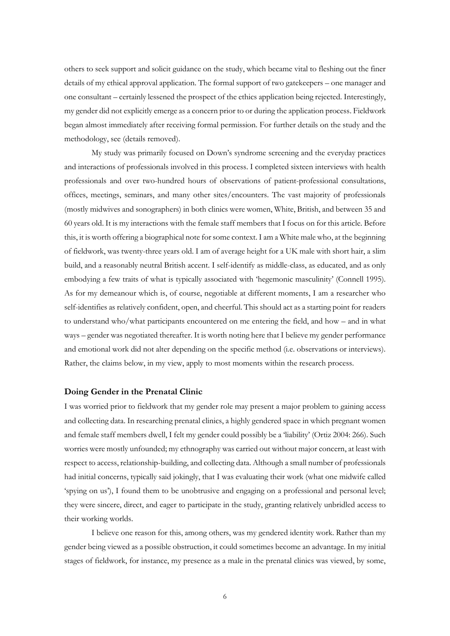others to seek support and solicit guidance on the study, which became vital to fleshing out the finer details of my ethical approval application. The formal support of two gatekeepers – one manager and one consultant – certainly lessened the prospect of the ethics application being rejected. Interestingly, my gender did not explicitly emerge as a concern prior to or during the application process. Fieldwork began almost immediately after receiving formal permission. For further details on the study and the methodology, see (details removed).

My study was primarily focused on Down's syndrome screening and the everyday practices and interactions of professionals involved in this process. I completed sixteen interviews with health professionals and over two-hundred hours of observations of patient-professional consultations, offices, meetings, seminars, and many other sites/encounters. The vast majority of professionals (mostly midwives and sonographers) in both clinics were women, White, British, and between 35 and 60 years old. It is my interactions with the female staff members that I focus on for this article. Before this, it is worth offering a biographical note for some context. I am a White male who, at the beginning of fieldwork, was twenty-three years old. I am of average height for a UK male with short hair, a slim build, and a reasonably neutral British accent. I self-identify as middle-class, as educated, and as only embodying a few traits of what is typically associated with 'hegemonic masculinity' (Connell 1995). As for my demeanour which is, of course, negotiable at different moments, I am a researcher who self-identifies as relatively confident, open, and cheerful. This should act as a starting point for readers to understand who/what participants encountered on me entering the field, and how – and in what ways – gender was negotiated thereafter. It is worth noting here that I believe my gender performance and emotional work did not alter depending on the specific method (i.e. observations or interviews). Rather, the claims below, in my view, apply to most moments within the research process.

#### **Doing Gender in the Prenatal Clinic**

I was worried prior to fieldwork that my gender role may present a major problem to gaining access and collecting data. In researching prenatal clinics, a highly gendered space in which pregnant women and female staff members dwell, I felt my gender could possibly be a 'liability' (Ortiz 2004: 266). Such worries were mostly unfounded; my ethnography was carried out without major concern, at least with respect to access, relationship-building, and collecting data. Although a small number of professionals had initial concerns, typically said jokingly, that I was evaluating their work (what one midwife called 'spying on us'), I found them to be unobtrusive and engaging on a professional and personal level; they were sincere, direct, and eager to participate in the study, granting relatively unbridled access to their working worlds.

I believe one reason for this, among others, was my gendered identity work. Rather than my gender being viewed as a possible obstruction, it could sometimes become an advantage. In my initial stages of fieldwork, for instance, my presence as a male in the prenatal clinics was viewed, by some,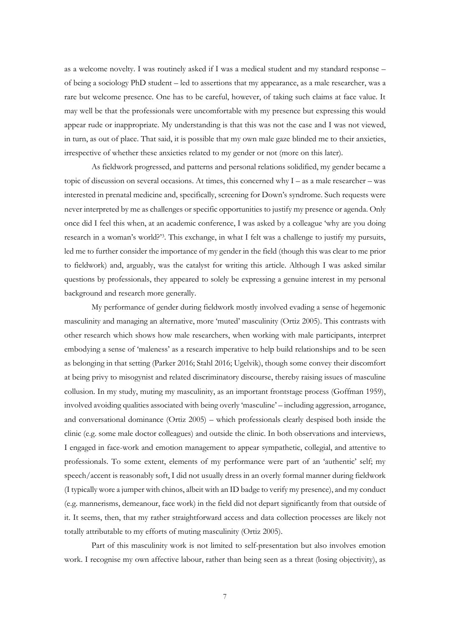as a welcome novelty. I was routinely asked if I was a medical student and my standard response – of being a sociology PhD student – led to assertions that my appearance, as a male researcher, was a rare but welcome presence. One has to be careful, however, of taking such claims at face value. It may well be that the professionals were uncomfortable with my presence but expressing this would appear rude or inappropriate. My understanding is that this was not the case and I was not viewed, in turn, as out of place. That said, it is possible that my own male gaze blinded me to their anxieties, irrespective of whether these anxieties related to my gender or not (more on this later).

As fieldwork progressed, and patterns and personal relations solidified, my gender became a topic of discussion on several occasions. At times, this concerned why  $I - a s$  a male researcher – was interested in prenatal medicine and, specifically, screening for Down's syndrome. Such requests were never interpreted by me as challenges or specific opportunities to justify my presence or agenda. Only once did I feel this when, at an academic conference, I was asked by a colleague 'why are you doing research in a woman's world?' 3 . This exchange, in what I felt was a challenge to justify my pursuits, led me to further consider the importance of my gender in the field (though this was clear to me prior to fieldwork) and, arguably, was the catalyst for writing this article. Although I was asked similar questions by professionals, they appeared to solely be expressing a genuine interest in my personal background and research more generally.

My performance of gender during fieldwork mostly involved evading a sense of hegemonic masculinity and managing an alternative, more 'muted' masculinity (Ortiz 2005). This contrasts with other research which shows how male researchers, when working with male participants, interpret embodying a sense of 'maleness' as a research imperative to help build relationships and to be seen as belonging in that setting (Parker 2016; Stahl 2016; Ugelvik), though some convey their discomfort at being privy to misogynist and related discriminatory discourse, thereby raising issues of masculine collusion. In my study, muting my masculinity, as an important frontstage process (Goffman 1959), involved avoiding qualities associated with being overly 'masculine' – including aggression, arrogance, and conversational dominance (Ortiz 2005) – which professionals clearly despised both inside the clinic (e.g. some male doctor colleagues) and outside the clinic. In both observations and interviews, I engaged in face-work and emotion management to appear sympathetic, collegial, and attentive to professionals. To some extent, elements of my performance were part of an 'authentic' self; my speech/accent is reasonably soft, I did not usually dress in an overly formal manner during fieldwork (I typically wore a jumper with chinos, albeit with an ID badge to verify my presence), and my conduct (e.g. mannerisms, demeanour, face work) in the field did not depart significantly from that outside of it. It seems, then, that my rather straightforward access and data collection processes are likely not totally attributable to my efforts of muting masculinity (Ortiz 2005).

Part of this masculinity work is not limited to self-presentation but also involves emotion work. I recognise my own affective labour, rather than being seen as a threat (losing objectivity), as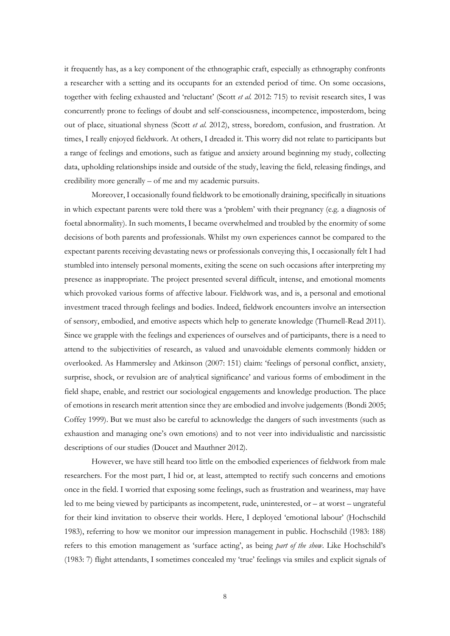it frequently has, as a key component of the ethnographic craft, especially as ethnography confronts a researcher with a setting and its occupants for an extended period of time. On some occasions, together with feeling exhausted and 'reluctant' (Scott *et al.* 2012: 715) to revisit research sites, I was concurrently prone to feelings of doubt and self-consciousness, incompetence, imposterdom, being out of place, situational shyness (Scott *et al.* 2012), stress, boredom, confusion, and frustration. At times, I really enjoyed fieldwork. At others, I dreaded it. This worry did not relate to participants but a range of feelings and emotions, such as fatigue and anxiety around beginning my study, collecting data, upholding relationships inside and outside of the study, leaving the field, releasing findings, and credibility more generally – of me and my academic pursuits.

Moreover, I occasionally found fieldwork to be emotionally draining, specifically in situations in which expectant parents were told there was a 'problem' with their pregnancy (e.g. a diagnosis of foetal abnormality). In such moments, I became overwhelmed and troubled by the enormity of some decisions of both parents and professionals. Whilst my own experiences cannot be compared to the expectant parents receiving devastating news or professionals conveying this, I occasionally felt I had stumbled into intensely personal moments, exiting the scene on such occasions after interpreting my presence as inappropriate. The project presented several difficult, intense, and emotional moments which provoked various forms of affective labour. Fieldwork was, and is, a personal and emotional investment traced through feelings and bodies. Indeed, fieldwork encounters involve an intersection of sensory, embodied, and emotive aspects which help to generate knowledge (Thurnell-Read 2011). Since we grapple with the feelings and experiences of ourselves and of participants, there is a need to attend to the subjectivities of research, as valued and unavoidable elements commonly hidden or overlooked. As Hammersley and Atkinson (2007: 151) claim: 'feelings of personal conflict, anxiety, surprise, shock, or revulsion are of analytical significance' and various forms of embodiment in the field shape, enable, and restrict our sociological engagements and knowledge production. The place of emotions in research merit attention since they are embodied and involve judgements (Bondi 2005; Coffey 1999). But we must also be careful to acknowledge the dangers of such investments (such as exhaustion and managing one's own emotions) and to not veer into individualistic and narcissistic descriptions of our studies (Doucet and Mauthner 2012).

However, we have still heard too little on the embodied experiences of fieldwork from male researchers. For the most part, I hid or, at least, attempted to rectify such concerns and emotions once in the field. I worried that exposing some feelings, such as frustration and weariness, may have led to me being viewed by participants as incompetent, rude, uninterested, or – at worst – ungrateful for their kind invitation to observe their worlds. Here, I deployed 'emotional labour' (Hochschild 1983), referring to how we monitor our impression management in public. Hochschild (1983: 188) refers to this emotion management as 'surface acting', as being *part of the show*. Like Hochschild's (1983: 7) flight attendants, I sometimes concealed my 'true' feelings via smiles and explicit signals of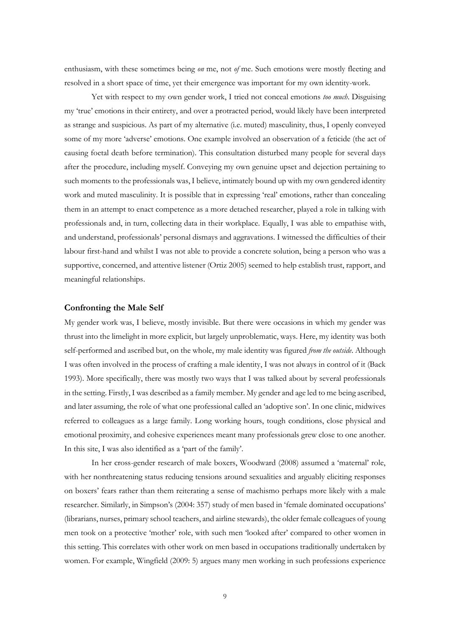enthusiasm, with these sometimes being *on* me, not *of* me. Such emotions were mostly fleeting and resolved in a short space of time, yet their emergence was important for my own identity-work.

Yet with respect to my own gender work, I tried not conceal emotions *too much*. Disguising my 'true' emotions in their entirety, and over a protracted period, would likely have been interpreted as strange and suspicious. As part of my alternative (i.e. muted) masculinity, thus, I openly conveyed some of my more 'adverse' emotions. One example involved an observation of a feticide (the act of causing foetal death before termination). This consultation disturbed many people for several days after the procedure, including myself. Conveying my own genuine upset and dejection pertaining to such moments to the professionals was, I believe, intimately bound up with my own gendered identity work and muted masculinity. It is possible that in expressing 'real' emotions, rather than concealing them in an attempt to enact competence as a more detached researcher, played a role in talking with professionals and, in turn, collecting data in their workplace. Equally, I was able to empathise with, and understand, professionals' personal dismays and aggravations. I witnessed the difficulties of their labour first-hand and whilst I was not able to provide a concrete solution, being a person who was a supportive, concerned, and attentive listener (Ortiz 2005) seemed to help establish trust, rapport, and meaningful relationships.

## **Confronting the Male Self**

My gender work was, I believe, mostly invisible. But there were occasions in which my gender was thrust into the limelight in more explicit, but largely unproblematic, ways. Here, my identity was both self-performed and ascribed but, on the whole, my male identity was figured *from the outside*. Although I was often involved in the process of crafting a male identity, I was not always in control of it (Back 1993). More specifically, there was mostly two ways that I was talked about by several professionals in the setting. Firstly, I was described as a family member. My gender and age led to me being ascribed, and later assuming, the role of what one professional called an 'adoptive son'. In one clinic, midwives referred to colleagues as a large family. Long working hours, tough conditions, close physical and emotional proximity, and cohesive experiences meant many professionals grew close to one another. In this site, I was also identified as a 'part of the family'.

In her cross-gender research of male boxers, Woodward (2008) assumed a 'maternal' role, with her nonthreatening status reducing tensions around sexualities and arguably eliciting responses on boxers' fears rather than them reiterating a sense of machismo perhaps more likely with a male researcher. Similarly, in Simpson's (2004: 357) study of men based in 'female dominated occupations' (librarians, nurses, primary school teachers, and airline stewards), the older female colleagues of young men took on a protective 'mother' role, with such men 'looked after' compared to other women in this setting. This correlates with other work on men based in occupations traditionally undertaken by women. For example, Wingfield (2009: 5) argues many men working in such professions experience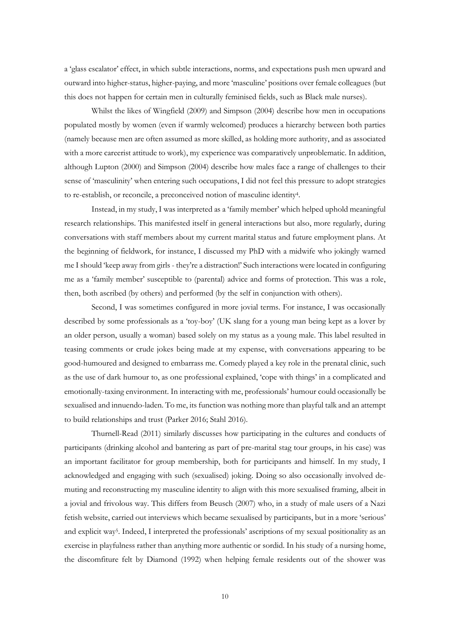a 'glass escalator' effect, in which subtle interactions, norms, and expectations push men upward and outward into higher-status, higher-paying, and more 'masculine' positions over female colleagues (but this does not happen for certain men in culturally feminised fields, such as Black male nurses).

Whilst the likes of Wingfield (2009) and Simpson (2004) describe how men in occupations populated mostly by women (even if warmly welcomed) produces a hierarchy between both parties (namely because men are often assumed as more skilled, as holding more authority, and as associated with a more careerist attitude to work), my experience was comparatively unproblematic. In addition, although Lupton (2000) and Simpson (2004) describe how males face a range of challenges to their sense of 'masculinity' when entering such occupations, I did not feel this pressure to adopt strategies to re-establish, or reconcile, a preconceived notion of masculine identity<sup>4</sup>.

Instead, in my study, I was interpreted as a 'family member' which helped uphold meaningful research relationships. This manifested itself in general interactions but also, more regularly, during conversations with staff members about my current marital status and future employment plans. At the beginning of fieldwork, for instance, I discussed my PhD with a midwife who jokingly warned me I should 'keep away from girls - they're a distraction!' Such interactions were located in configuring me as a 'family member' susceptible to (parental) advice and forms of protection. This was a role, then, both ascribed (by others) and performed (by the self in conjunction with others).

Second, I was sometimes configured in more jovial terms. For instance, I was occasionally described by some professionals as a 'toy-boy' (UK slang for a young man being kept as a lover by an older person, usually a woman) based solely on my status as a young male. This label resulted in teasing comments or crude jokes being made at my expense, with conversations appearing to be good-humoured and designed to embarrass me. Comedy played a key role in the prenatal clinic, such as the use of dark humour to, as one professional explained, 'cope with things' in a complicated and emotionally-taxing environment. In interacting with me, professionals' humour could occasionally be sexualised and innuendo-laden. To me, its function was nothing more than playful talk and an attempt to build relationships and trust (Parker 2016; Stahl 2016).

Thurnell-Read (2011) similarly discusses how participating in the cultures and conducts of participants (drinking alcohol and bantering as part of pre-marital stag tour groups, in his case) was an important facilitator for group membership, both for participants and himself. In my study, I acknowledged and engaging with such (sexualised) joking. Doing so also occasionally involved demuting and reconstructing my masculine identity to align with this more sexualised framing, albeit in a jovial and frivolous way. This differs from Beusch (2007) who, in a study of male users of a Nazi fetish website, carried out interviews which became sexualised by participants, but in a more 'serious' and explicit way<sup>5</sup> . Indeed, I interpreted the professionals' ascriptions of my sexual positionality as an exercise in playfulness rather than anything more authentic or sordid. In his study of a nursing home, the discomfiture felt by Diamond (1992) when helping female residents out of the shower was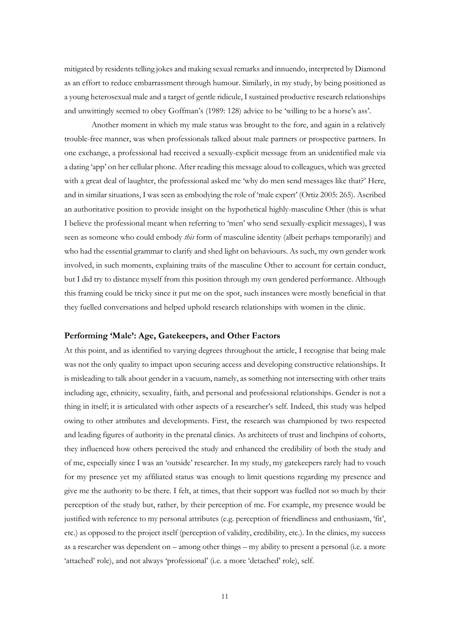mitigated by residents telling jokes and making sexual remarks and innuendo, interpreted by Diamond as an effort to reduce embarrassment through humour. Similarly, in my study, by being positioned as a young heterosexual male and a target of gentle ridicule, I sustained productive research relationships and unwittingly seemed to obey Goffman's (1989: 128) advice to be 'willing to be a horse's ass'.

Another moment in which my male status was brought to the fore, and again in a relatively trouble-free manner, was when professionals talked about male partners or prospective partners. In one exchange, a professional had received a sexually-explicit message from an unidentified male via a dating 'app' on her cellular phone. After reading this message aloud to colleagues, which was greeted with a great deal of laughter, the professional asked me 'why do men send messages like that?' Here, and in similar situations, I was seen as embodying the role of 'male expert' (Ortiz 2005: 265). Ascribed an authoritative position to provide insight on the hypothetical highly-masculine Other (this is what I believe the professional meant when referring to 'men' who send sexually-explicit messages), I was seen as someone who could embody *this* form of masculine identity (albeit perhaps temporarily) and who had the essential grammar to clarify and shed light on behaviours. As such, my own gender work involved, in such moments, explaining traits of the masculine Other to account for certain conduct, but I did try to distance myself from this position through my own gendered performance. Although this framing could be tricky since it put me on the spot, such instances were mostly beneficial in that they fuelled conversations and helped uphold research relationships with women in the clinic.

# **Performing 'Male': Age, Gatekeepers, and Other Factors**

At this point, and as identified to varying degrees throughout the article, I recognise that being male was not the only quality to impact upon securing access and developing constructive relationships. It is misleading to talk about gender in a vacuum, namely, as something not intersecting with other traits including age, ethnicity, sexuality, faith, and personal and professional relationships. Gender is not a thing in itself; it is articulated with other aspects of a researcher's self. Indeed, this study was helped owing to other attributes and developments. First, the research was championed by two respected and leading figures of authority in the prenatal clinics. As architects of trust and linchpins of cohorts, they influenced how others perceived the study and enhanced the credibility of both the study and of me, especially since I was an 'outside' researcher. In my study, my gatekeepers rarely had to vouch for my presence yet my affiliated status was enough to limit questions regarding my presence and give me the authority to be there. I felt, at times, that their support was fuelled not so much by their perception of the study but, rather, by their perception of me. For example, my presence would be justified with reference to my personal attributes (e.g. perception of friendliness and enthusiasm, 'fit', etc.) as opposed to the project itself (perception of validity, credibility, etc.). In the clinics, my success as a researcher was dependent on – among other things – my ability to present a personal (i.e. a more 'attached' role), and not always 'professional' (i.e. a more 'detached' role), self.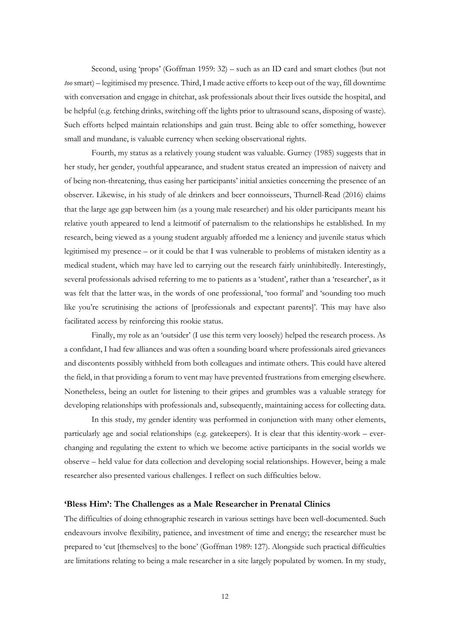Second, using 'props' (Goffman 1959: 32) – such as an ID card and smart clothes (but not *too* smart) – legitimised my presence. Third, I made active efforts to keep out of the way, fill downtime with conversation and engage in chitchat, ask professionals about their lives outside the hospital, and be helpful (e.g. fetching drinks, switching off the lights prior to ultrasound scans, disposing of waste). Such efforts helped maintain relationships and gain trust. Being able to offer something, however small and mundane, is valuable currency when seeking observational rights.

Fourth, my status as a relatively young student was valuable. Gurney (1985) suggests that in her study, her gender, youthful appearance, and student status created an impression of naivety and of being non-threatening, thus easing her participants' initial anxieties concerning the presence of an observer. Likewise, in his study of ale drinkers and beer connoisseurs, Thurnell-Read (2016) claims that the large age gap between him (as a young male researcher) and his older participants meant his relative youth appeared to lend a leitmotif of paternalism to the relationships he established. In my research, being viewed as a young student arguably afforded me a leniency and juvenile status which legitimised my presence – or it could be that I was vulnerable to problems of mistaken identity as a medical student, which may have led to carrying out the research fairly uninhibitedly. Interestingly, several professionals advised referring to me to patients as a 'student', rather than a 'researcher', as it was felt that the latter was, in the words of one professional, 'too formal' and 'sounding too much like you're scrutinising the actions of [professionals and expectant parents]'. This may have also facilitated access by reinforcing this rookie status.

Finally, my role as an 'outsider' (I use this term very loosely) helped the research process. As a confidant, I had few alliances and was often a sounding board where professionals aired grievances and discontents possibly withheld from both colleagues and intimate others. This could have altered the field, in that providing a forum to vent may have prevented frustrations from emerging elsewhere. Nonetheless, being an outlet for listening to their gripes and grumbles was a valuable strategy for developing relationships with professionals and, subsequently, maintaining access for collecting data.

In this study, my gender identity was performed in conjunction with many other elements, particularly age and social relationships (e.g. gatekeepers). It is clear that this identity-work – everchanging and regulating the extent to which we become active participants in the social worlds we observe – held value for data collection and developing social relationships. However, being a male researcher also presented various challenges. I reflect on such difficulties below.

#### **'Bless Him': The Challenges as a Male Researcher in Prenatal Clinics**

The difficulties of doing ethnographic research in various settings have been well-documented. Such endeavours involve flexibility, patience, and investment of time and energy; the researcher must be prepared to 'cut [themselves] to the bone' (Goffman 1989: 127). Alongside such practical difficulties are limitations relating to being a male researcher in a site largely populated by women. In my study,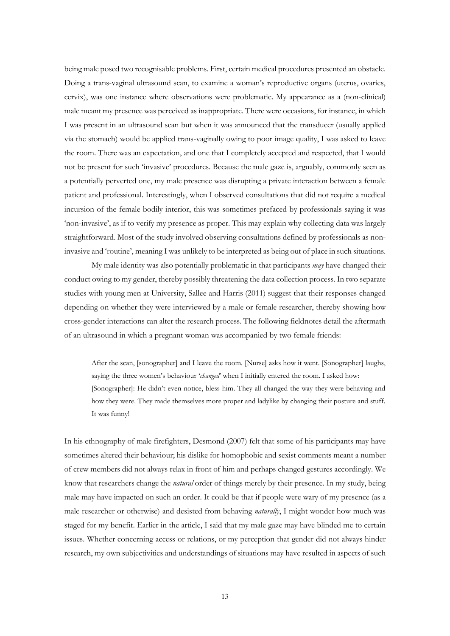being male posed two recognisable problems. First, certain medical procedures presented an obstacle. Doing a trans-vaginal ultrasound scan, to examine a woman's reproductive organs (uterus, ovaries, cervix), was one instance where observations were problematic. My appearance as a (non-clinical) male meant my presence was perceived as inappropriate. There were occasions, for instance, in which I was present in an ultrasound scan but when it was announced that the transducer (usually applied via the stomach) would be applied trans-vaginally owing to poor image quality, I was asked to leave the room. There was an expectation, and one that I completely accepted and respected, that I would not be present for such 'invasive' procedures. Because the male gaze is, arguably, commonly seen as a potentially perverted one, my male presence was disrupting a private interaction between a female patient and professional. Interestingly, when I observed consultations that did not require a medical incursion of the female bodily interior, this was sometimes prefaced by professionals saying it was 'non-invasive', as if to verify my presence as proper. This may explain why collecting data was largely straightforward. Most of the study involved observing consultations defined by professionals as noninvasive and 'routine', meaning I was unlikely to be interpreted as being out of place in such situations.

 My male identity was also potentially problematic in that participants *may* have changed their conduct owing to my gender, thereby possibly threatening the data collection process. In two separate studies with young men at University, Sallee and Harris (2011) suggest that their responses changed depending on whether they were interviewed by a male or female researcher, thereby showing how cross-gender interactions can alter the research process. The following fieldnotes detail the aftermath of an ultrasound in which a pregnant woman was accompanied by two female friends:

After the scan, [sonographer] and I leave the room. [Nurse] asks how it went. [Sonographer] laughs, saying the three women's behaviour '*changed*' when I initially entered the room. I asked how: [Sonographer]: He didn't even notice, bless him. They all changed the way they were behaving and how they were. They made themselves more proper and ladylike by changing their posture and stuff. It was funny!

In his ethnography of male firefighters, Desmond (2007) felt that some of his participants may have sometimes altered their behaviour; his dislike for homophobic and sexist comments meant a number of crew members did not always relax in front of him and perhaps changed gestures accordingly. We know that researchers change the *natural* order of things merely by their presence. In my study, being male may have impacted on such an order. It could be that if people were wary of my presence (as a male researcher or otherwise) and desisted from behaving *naturally*, I might wonder how much was staged for my benefit. Earlier in the article, I said that my male gaze may have blinded me to certain issues. Whether concerning access or relations, or my perception that gender did not always hinder research, my own subjectivities and understandings of situations may have resulted in aspects of such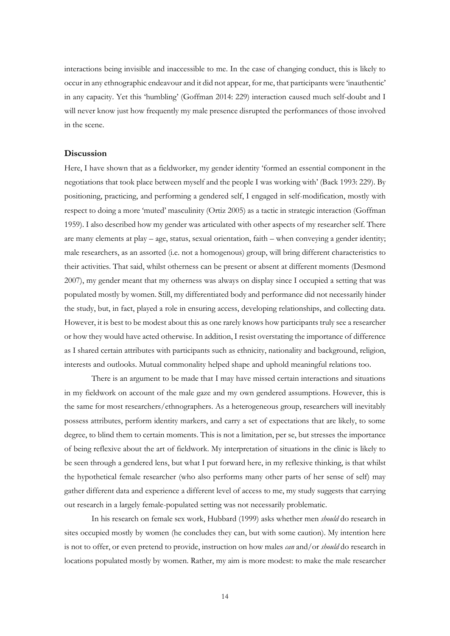interactions being invisible and inaccessible to me. In the case of changing conduct, this is likely to occur in any ethnographic endeavour and it did not appear, for me, that participants were 'inauthentic' in any capacity. Yet this 'humbling' (Goffman 2014: 229) interaction caused much self-doubt and I will never know just how frequently my male presence disrupted the performances of those involved in the scene.

# **Discussion**

Here, I have shown that as a fieldworker, my gender identity 'formed an essential component in the negotiations that took place between myself and the people I was working with' (Back 1993: 229). By positioning, practicing, and performing a gendered self, I engaged in self-modification, mostly with respect to doing a more 'muted' masculinity (Ortiz 2005) as a tactic in strategic interaction (Goffman 1959). I also described how my gender was articulated with other aspects of my researcher self. There are many elements at play – age, status, sexual orientation, faith – when conveying a gender identity; male researchers, as an assorted (i.e. not a homogenous) group, will bring different characteristics to their activities. That said, whilst otherness can be present or absent at different moments (Desmond 2007), my gender meant that my otherness was always on display since I occupied a setting that was populated mostly by women. Still, my differentiated body and performance did not necessarily hinder the study, but, in fact, played a role in ensuring access, developing relationships, and collecting data. However, it is best to be modest about this as one rarely knows how participants truly see a researcher or how they would have acted otherwise. In addition, I resist overstating the importance of difference as I shared certain attributes with participants such as ethnicity, nationality and background, religion, interests and outlooks. Mutual commonality helped shape and uphold meaningful relations too.

 There is an argument to be made that I may have missed certain interactions and situations in my fieldwork on account of the male gaze and my own gendered assumptions. However, this is the same for most researchers/ethnographers. As a heterogeneous group, researchers will inevitably possess attributes, perform identity markers, and carry a set of expectations that are likely, to some degree, to blind them to certain moments. This is not a limitation, per se, but stresses the importance of being reflexive about the art of fieldwork. My interpretation of situations in the clinic is likely to be seen through a gendered lens, but what I put forward here, in my reflexive thinking, is that whilst the hypothetical female researcher (who also performs many other parts of her sense of self) may gather different data and experience a different level of access to me, my study suggests that carrying out research in a largely female-populated setting was not necessarily problematic.

In his research on female sex work, Hubbard (1999) asks whether men *should* do research in sites occupied mostly by women (he concludes they can, but with some caution). My intention here is not to offer, or even pretend to provide, instruction on how males *can* and/or *should* do research in locations populated mostly by women. Rather, my aim is more modest: to make the male researcher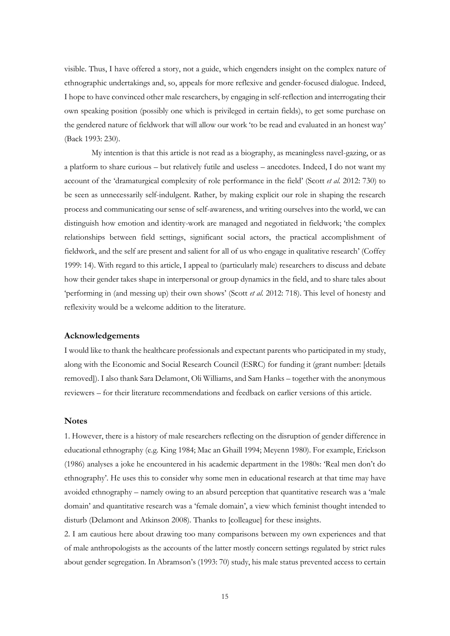visible. Thus, I have offered a story, not a guide, which engenders insight on the complex nature of ethnographic undertakings and, so, appeals for more reflexive and gender-focused dialogue. Indeed, I hope to have convinced other male researchers, by engaging in self-reflection and interrogating their own speaking position (possibly one which is privileged in certain fields), to get some purchase on the gendered nature of fieldwork that will allow our work 'to be read and evaluated in an honest way' (Back 1993: 230).

My intention is that this article is not read as a biography, as meaningless navel-gazing, or as a platform to share curious – but relatively futile and useless – anecdotes. Indeed, I do not want my account of the 'dramaturgical complexity of role performance in the field' (Scott *et al.* 2012: 730) to be seen as unnecessarily self-indulgent. Rather, by making explicit our role in shaping the research process and communicating our sense of self-awareness, and writing ourselves into the world, we can distinguish how emotion and identity-work are managed and negotiated in fieldwork; 'the complex relationships between field settings, significant social actors, the practical accomplishment of fieldwork, and the self are present and salient for all of us who engage in qualitative research' (Coffey 1999: 14). With regard to this article, I appeal to (particularly male) researchers to discuss and debate how their gender takes shape in interpersonal or group dynamics in the field, and to share tales about 'performing in (and messing up) their own shows' (Scott *et al.* 2012: 718). This level of honesty and reflexivity would be a welcome addition to the literature.

### **Acknowledgements**

I would like to thank the healthcare professionals and expectant parents who participated in my study, along with the Economic and Social Research Council (ESRC) for funding it (grant number: [details removed]). I also thank Sara Delamont, Oli Williams, and Sam Hanks – together with the anonymous reviewers – for their literature recommendations and feedback on earlier versions of this article.

#### **Notes**

1. However, there is a history of male researchers reflecting on the disruption of gender difference in educational ethnography (e.g. King 1984; Mac an Ghaill 1994; Meyenn 1980). For example, Erickson (1986) analyses a joke he encountered in his academic department in the 1980s: 'Real men don't do ethnography'. He uses this to consider why some men in educational research at that time may have avoided ethnography – namely owing to an absurd perception that quantitative research was a 'male domain' and quantitative research was a 'female domain', a view which feminist thought intended to disturb (Delamont and Atkinson 2008). Thanks to [colleague] for these insights.

2. I am cautious here about drawing too many comparisons between my own experiences and that of male anthropologists as the accounts of the latter mostly concern settings regulated by strict rules about gender segregation. In Abramson's (1993: 70) study, his male status prevented access to certain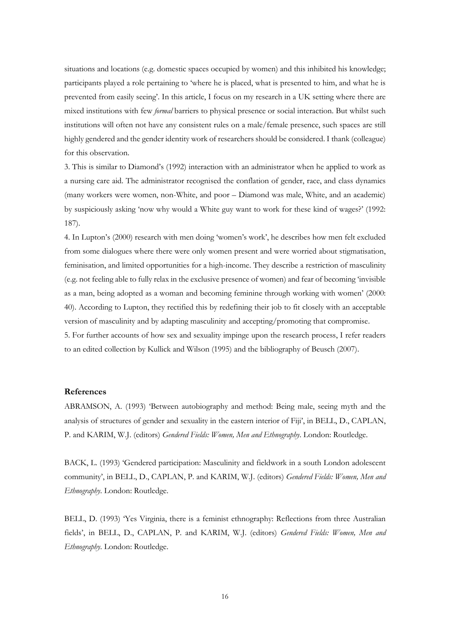situations and locations (e.g. domestic spaces occupied by women) and this inhibited his knowledge; participants played a role pertaining to 'where he is placed, what is presented to him, and what he is prevented from easily seeing'. In this article, I focus on my research in a UK setting where there are mixed institutions with few *formal* barriers to physical presence or social interaction. But whilst such institutions will often not have any consistent rules on a male/female presence, such spaces are still highly gendered and the gender identity work of researchers should be considered. I thank (colleague) for this observation.

3. This is similar to Diamond's (1992) interaction with an administrator when he applied to work as a nursing care aid. The administrator recognised the conflation of gender, race, and class dynamics (many workers were women, non-White, and poor – Diamond was male, White, and an academic) by suspiciously asking 'now why would a White guy want to work for these kind of wages?' (1992: 187).

4. In Lupton's (2000) research with men doing 'women's work', he describes how men felt excluded from some dialogues where there were only women present and were worried about stigmatisation, feminisation, and limited opportunities for a high-income. They describe a restriction of masculinity (e.g. not feeling able to fully relax in the exclusive presence of women) and fear of becoming 'invisible as a man, being adopted as a woman and becoming feminine through working with women' (2000: 40). According to Lupton, they rectified this by redefining their job to fit closely with an acceptable version of masculinity and by adapting masculinity and accepting/promoting that compromise. 5. For further accounts of how sex and sexuality impinge upon the research process, I refer readers to an edited collection by Kullick and Wilson (1995) and the bibliography of Beusch (2007).

## **References**

ABRAMSON, A. (1993) 'Between autobiography and method: Being male, seeing myth and the analysis of structures of gender and sexuality in the eastern interior of Fiji', in BELL, D., CAPLAN, P. and KARIM, W.J. (editors) *Gendered Fields: Women, Men and Ethnography*. London: Routledge.

BACK, L. (1993) 'Gendered participation: Masculinity and fieldwork in a south London adolescent community', in BELL, D., CAPLAN, P. and KARIM, W.J. (editors) *Gendered Fields: Women, Men and Ethnography*. London: Routledge.

BELL, D. (1993) 'Yes Virginia, there is a feminist ethnography: Reflections from three Australian fields', in BELL, D., CAPLAN, P. and KARIM, W.J. (editors) *Gendered Fields: Women, Men and Ethnography*. London: Routledge.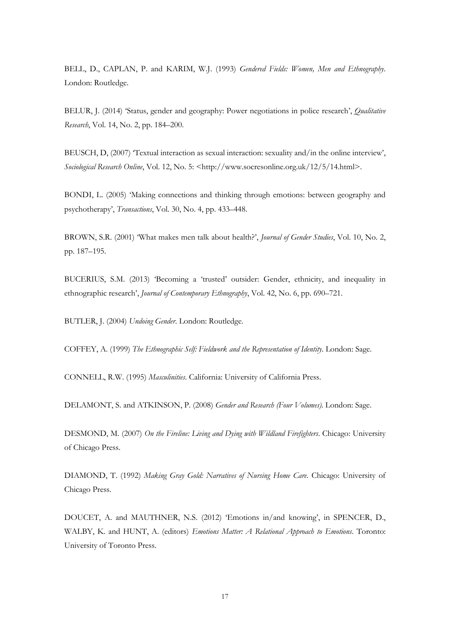BELL, D., CAPLAN, P. and KARIM, W.J. (1993) *Gendered Fields: Women, Men and Ethnography*. London: Routledge.

BELUR, J. (2014) 'Status, gender and geography: Power negotiations in police research', *Qualitative Research*, Vol. 14, No. 2, pp. 184–200.

BEUSCH, D, (2007) 'Textual interaction as sexual interaction: sexuality and/in the online interview', *Sociological Research Online*, Vol. 12, No. 5: <http://www.socresonline.org.uk/12/5/14.html>.

BONDI, L. (2005) 'Making connections and thinking through emotions: between geography and psychotherapy', *Transactions*, Vol. 30, No. 4, pp. 433–448.

BROWN, S.R. (2001) 'What makes men talk about health?', *Journal of Gender Studies*, Vol. 10, No. 2, pp. 187–195.

BUCERIUS, S.M. (2013) 'Becoming a 'trusted' outsider: Gender, ethnicity, and inequality in ethnographic research', *Journal of Contemporary Ethnography*, Vol. 42, No. 6, pp. 690–721.

BUTLER, J. (2004) *Undoing Gender*. London: Routledge.

COFFEY, A. (1999) *The Ethnographic Self: Fieldwork and the Representation of Identity*. London: Sage.

CONNELL, R.W. (1995) *Masculinities*. California: University of California Press.

DELAMONT, S. and ATKINSON, P. (2008) *Gender and Research (Four Volumes)*. London: Sage.

DESMOND, M. (2007) *On the Fireline: Living and Dying with Wildland Firefighters*. Chicago: University of Chicago Press.

DIAMOND, T. (1992) *Making Gray Gold: Narratives of Nursing Home Care*. Chicago: University of Chicago Press.

DOUCET, A. and MAUTHNER, N.S. (2012) 'Emotions in/and knowing', in SPENCER, D., WALBY, K. and HUNT, A. (editors) *Emotions Matter: A Relational Approach to Emotions*. Toronto: University of Toronto Press.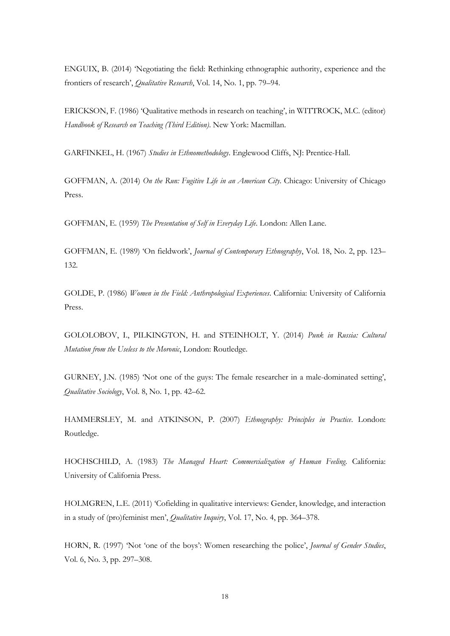ENGUIX, B. (2014) 'Negotiating the field: Rethinking ethnographic authority, experience and the frontiers of research', *Qualitative Research*, Vol. 14, No. 1, pp. 79–94.

ERICKSON, F. (1986) 'Qualitative methods in research on teaching', in WITTROCK, M.C. (editor) *Handbook of Research on Teaching (Third Edition)*. New York: Macmillan.

GARFINKEL, H. (1967) *Studies in Ethnomethodology*. Englewood Cliffs, NJ: Prentice-Hall.

GOFFMAN, A. (2014) *On the Run: Fugitive Life in an American City*. Chicago: University of Chicago Press.

GOFFMAN, E. (1959) *The Presentation of Self in Everyday Life*. London: Allen Lane.

GOFFMAN, E. (1989) 'On fieldwork', *Journal of Contemporary Ethnography*, Vol. 18, No. 2, pp. 123– 132.

GOLDE, P. (1986) *Women in the Field: Anthropological Experiences*. California: University of California Press.

GOLOLOBOV, I., PILKINGTON, H. and STEINHOLT, Y. (2014) *Punk in Russia: Cultural Mutation from the Useless to the Moronic*, London: Routledge.

GURNEY, J.N. (1985) 'Not one of the guys: The female researcher in a male-dominated setting', *Qualitative Sociology*, Vol. 8, No. 1, pp. 42–62.

HAMMERSLEY, M. and ATKINSON, P. (2007) *Ethnography: Principles in Practice*. London: Routledge.

HOCHSCHILD, A. (1983) *The Managed Heart: Commercialization of Human Feeling*. California: University of California Press.

HOLMGREN, L.E. (2011) 'Cofielding in qualitative interviews: Gender, knowledge, and interaction in a study of (pro)feminist men', *Qualitative Inquiry*, Vol. 17, No. 4, pp. 364–378.

HORN, R. (1997) 'Not 'one of the boys': Women researching the police', *Journal of Gender Studies*, Vol. 6, No. 3, pp. 297–308.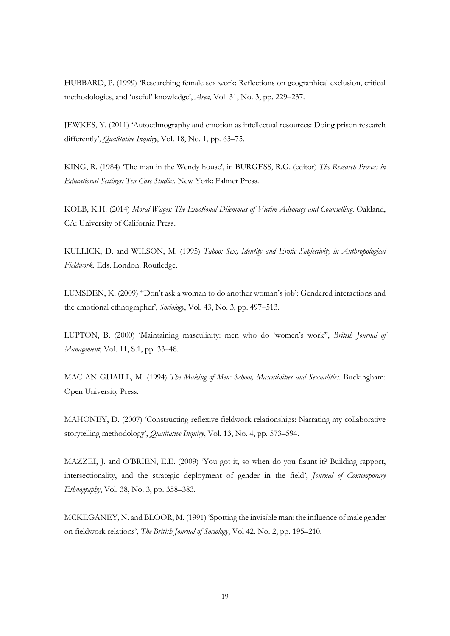HUBBARD, P. (1999) 'Researching female sex work: Reflections on geographical exclusion, critical methodologies, and 'useful' knowledge', *Area*, Vol. 31, No. 3, pp. 229–237.

JEWKES, Y. (2011) 'Autoethnography and emotion as intellectual resources: Doing prison research differently', *Qualitative Inquiry*, Vol. 18, No. 1, pp. 63–75.

KING, R. (1984) 'The man in the Wendy house', in BURGESS, R.G. (editor) *The Research Process in Educational Settings: Ten Case Studies*. New York: Falmer Press.

KOLB, K.H. (2014) *Moral Wages: The Emotional Dilemmas of Victim Advocacy and Counselling*. Oakland, CA: University of California Press.

KULLICK, D. and WILSON, M. (1995) *Taboo: Sex, Identity and Erotic Subjectivity in Anthropological Fieldwork*. Eds. London: Routledge.

LUMSDEN, K. (2009) ''Don't ask a woman to do another woman's job': Gendered interactions and the emotional ethnographer', *Sociology*, Vol. 43, No. 3, pp. 497–513.

LUPTON, B. (2000) 'Maintaining masculinity: men who do 'women's work'', *British Journal of Management*, Vol. 11, S.1, pp. 33–48.

MAC AN GHAILL, M. (1994) *The Making of Men: School, Masculinities and Sexualities*. Buckingham: Open University Press.

MAHONEY, D. (2007) 'Constructing reflexive fieldwork relationships: Narrating my collaborative storytelling methodology', *Qualitative Inquiry*, Vol. 13, No. 4, pp. 573–594.

MAZZEI, J. and O'BRIEN, E.E. (2009) 'You got it, so when do you flaunt it? Building rapport, intersectionality, and the strategic deployment of gender in the field', *Journal of Contemporary Ethnography*, Vol. 38, No. 3, pp. 358–383.

MCKEGANEY, N. and BLOOR, M. (1991) 'Spotting the invisible man: the influence of male gender on fieldwork relations', *The British Journal of Sociology*, Vol 42. No. 2, pp. 195–210.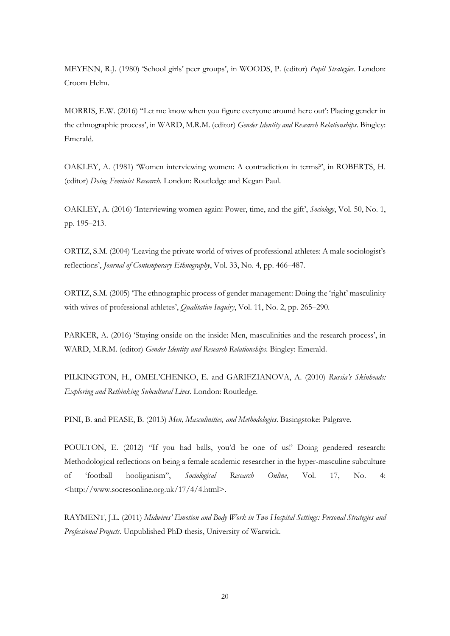MEYENN, R.J. (1980) 'School girls' peer groups', in WOODS, P. (editor) *Pupil Strategies*. London: Croom Helm.

MORRIS, E.W. (2016) ''Let me know when you figure everyone around here out': Placing gender in the ethnographic process', in WARD, M.R.M. (editor) *Gender Identity and Research Relationships*. Bingley: Emerald.

OAKLEY, A. (1981) 'Women interviewing women: A contradiction in terms?', in ROBERTS, H. (editor) *Doing Feminist Research*. London: Routledge and Kegan Paul.

OAKLEY, A. (2016) 'Interviewing women again: Power, time, and the gift', *Sociology*, Vol. 50, No. 1, pp. 195–213.

ORTIZ, S.M. (2004) 'Leaving the private world of wives of professional athletes: A male sociologist's reflections', *Journal of Contemporary Ethnography*, Vol. 33, No. 4, pp. 466–487.

ORTIZ, S.M. (2005) 'The ethnographic process of gender management: Doing the 'right' masculinity with wives of professional athletes', *Qualitative Inquiry*, Vol. 11, No. 2, pp. 265–290.

PARKER, A. (2016) 'Staying onside on the inside: Men, masculinities and the research process', in WARD, M.R.M. (editor) *Gender Identity and Research Relationships*. Bingley: Emerald.

PILKINGTON, H., OMEL'CHENKO, E. and GARIFZIANOVA, A. (2010) *Russia's Skinheads: Exploring and Rethinking Subcultural Lives*. London: Routledge.

PINI, B. and PEASE, B. (2013) *Men, Masculinities, and Methodologies*. Basingstoke: Palgrave.

POULTON, E. (2012) ''If you had balls, you'd be one of us!' Doing gendered research: Methodological reflections on being a female academic researcher in the hyper-masculine subculture of 'football hooliganism'', *Sociological Research Online*, Vol. 17, No. 4: <http://www.socresonline.org.uk/17/4/4.html>.

RAYMENT, J.L. (2011) *Midwives' Emotion and Body Work in Two Hospital Settings: Personal Strategies and Professional Projects*. Unpublished PhD thesis, University of Warwick.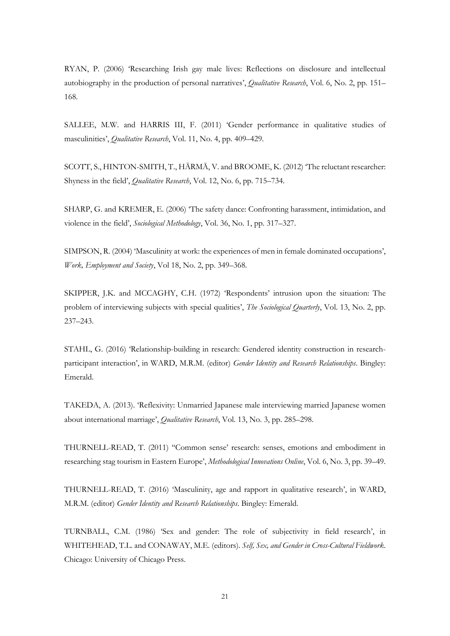RYAN, P. (2006) 'Researching Irish gay male lives: Reflections on disclosure and intellectual autobiography in the production of personal narratives', *Qualitative Research*, Vol. 6, No. 2, pp. 151– 168.

SALLEE, M.W. and HARRIS III, F. (2011) 'Gender performance in qualitative studies of masculinities', *Qualitative Research*, Vol. 11, No. 4, pp. 409–429.

SCOTT, S., HINTON-SMITH, T., HÄRMÄ, V. and BROOME, K. (2012) 'The reluctant researcher: Shyness in the field', *Qualitative Research*, Vol. 12, No. 6, pp. 715–734.

SHARP, G. and KREMER, E. (2006) 'The safety dance: Confronting harassment, intimidation, and violence in the field', *Sociological Methodology*, Vol. 36, No. 1, pp. 317–327.

SIMPSON, R. (2004) 'Masculinity at work: the experiences of men in female dominated occupations', *Work, Employment and Society*, Vol 18, No. 2, pp. 349–368.

SKIPPER, J.K. and MCCAGHY, C.H. (1972) 'Respondents' intrusion upon the situation: The problem of interviewing subjects with special qualities', *The Sociological Quarterly*, Vol. 13, No. 2, pp. 237–243.

STAHL, G. (2016) 'Relationship-building in research: Gendered identity construction in researchparticipant interaction', in WARD, M.R.M. (editor) *Gender Identity and Research Relationships*. Bingley: Emerald.

TAKEDA, A. (2013). 'Reflexivity: Unmarried Japanese male interviewing married Japanese women about international marriage', *Qualitative Research*, Vol. 13, No. 3, pp. 285–298.

THURNELL-READ, T. (2011) ''Common sense' research: senses, emotions and embodiment in researching stag tourism in Eastern Europe', *Methodological Innovations Online*, Vol. 6, No. 3, pp. 39–49.

THURNELL-READ, T. (2016) 'Masculinity, age and rapport in qualitative research', in WARD, M.R.M. (editor) *Gender Identity and Research Relationships*. Bingley: Emerald.

TURNBALL, C.M. (1986) 'Sex and gender: The role of subjectivity in field research', in WHITEHEAD, T.L. and CONAWAY, M.E. (editors). *Self, Sex, and Gender in Cross-Cultural Fieldwork*. Chicago: University of Chicago Press.